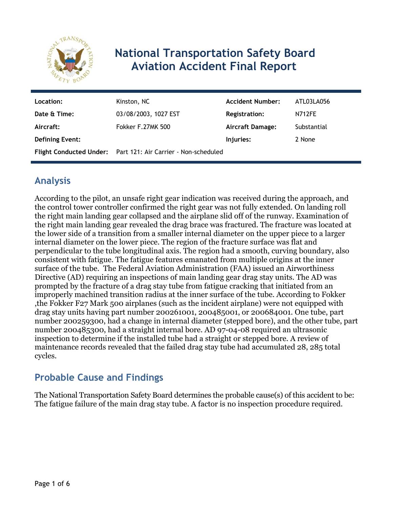

# **National Transportation Safety Board Aviation Accident Final Report**

| Location:              | Kinston, NC                                                          | <b>Accident Number:</b> | ATL03LA056    |
|------------------------|----------------------------------------------------------------------|-------------------------|---------------|
| Date & Time:           | 03/08/2003, 1027 EST                                                 | <b>Registration:</b>    | <b>N712FE</b> |
| Aircraft:              | <b>Fokker F.27MK 500</b>                                             | Aircraft Damage:        | Substantial   |
| <b>Defining Event:</b> |                                                                      | Injuries:               | 2 None        |
|                        | <b>Flight Conducted Under:</b> Part 121: Air Carrier - Non-scheduled |                         |               |

## **Analysis**

According to the pilot, an unsafe right gear indication was received during the approach, and the control tower controller confirmed the right gear was not fully extended. On landing roll the right main landing gear collapsed and the airplane slid off of the runway. Examination of the right main landing gear revealed the drag brace was fractured. The fracture was located at the lower side of a transition from a smaller internal diameter on the upper piece to a larger internal diameter on the lower piece. The region of the fracture surface was flat and perpendicular to the tube longitudinal axis. The region had a smooth, curving boundary, also consistent with fatigue. The fatigue features emanated from multiple origins at the inner surface of the tube. The Federal Aviation Administration (FAA) issued an Airworthiness Directive (AD) requiring an inspections of main landing gear drag stay units. The AD was prompted by the fracture of a drag stay tube from fatigue cracking that initiated from an improperly machined transition radius at the inner surface of the tube. According to Fokker ,the Fokker F27 Mark 500 airplanes (such as the incident airplane) were not equipped with drag stay units having part number 200261001, 200485001, or 200684001. One tube, part number 200259300, had a change in internal diameter (stepped bore), and the other tube, part number 200485300, had a straight internal bore. AD 97-04-08 required an ultrasonic inspection to determine if the installed tube had a straight or stepped bore. A review of maintenance records revealed that the failed drag stay tube had accumulated 28, 285 total cycles.

# **Probable Cause and Findings**

The National Transportation Safety Board determines the probable cause(s) of this accident to be: The fatigue failure of the main drag stay tube. A factor is no inspection procedure required.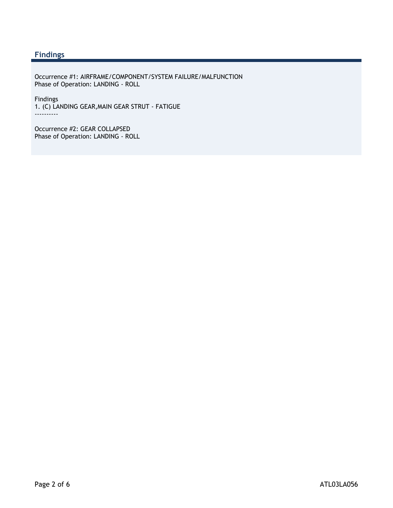#### **Findings**

Occurrence #1: AIRFRAME/COMPONENT/SYSTEM FAILURE/MALFUNCTION Phase of Operation: LANDING - ROLL

Findings 1. (C) LANDING GEAR,MAIN GEAR STRUT - FATIGUE ----------

Occurrence #2: GEAR COLLAPSED Phase of Operation: LANDING - ROLL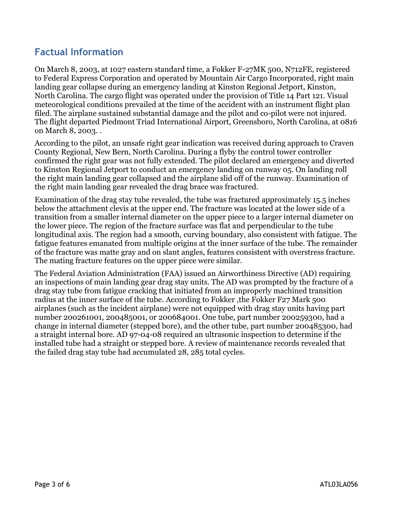### **Factual Information**

On March 8, 2003, at 1027 eastern standard time, a Fokker F-27MK 500, N712FE, registered to Federal Express Corporation and operated by Mountain Air Cargo Incorporated, right main landing gear collapse during an emergency landing at Kinston Regional Jetport, Kinston, North Carolina. The cargo flight was operated under the provision of Title 14 Part 121. Visual meteorological conditions prevailed at the time of the accident with an instrument flight plan filed. The airplane sustained substantial damage and the pilot and co-pilot were not injured. The flight departed Piedmont Triad International Airport, Greensboro, North Carolina, at 0816 on March 8, 2003. .

According to the pilot, an unsafe right gear indication was received during approach to Craven County Regional, New Bern, North Carolina. During a flyby the control tower controller confirmed the right gear was not fully extended. The pilot declared an emergency and diverted to Kinston Regional Jetport to conduct an emergency landing on runway 05. On landing roll the right main landing gear collapsed and the airplane slid off of the runway. Examination of the right main landing gear revealed the drag brace was fractured.

Examination of the drag stay tube revealed, the tube was fractured approximately 15.5 inches below the attachment clevis at the upper end. The fracture was located at the lower side of a transition from a smaller internal diameter on the upper piece to a larger internal diameter on the lower piece. The region of the fracture surface was flat and perpendicular to the tube longitudinal axis. The region had a smooth, curving boundary, also consistent with fatigue. The fatigue features emanated from multiple origins at the inner surface of the tube. The remainder of the fracture was matte gray and on slant angles, features consistent with overstress fracture. The mating fracture features on the upper piece were similar.

The Federal Aviation Administration (FAA) issued an Airworthiness Directive (AD) requiring an inspections of main landing gear drag stay units. The AD was prompted by the fracture of a drag stay tube from fatigue cracking that initiated from an improperly machined transition radius at the inner surface of the tube. According to Fokker, the Fokker F27 Mark 500 airplanes (such as the incident airplane) were not equipped with drag stay units having part number 200261001, 200485001, or 200684001. One tube, part number 200259300, had a change in internal diameter (stepped bore), and the other tube, part number 200485300, had a straight internal bore. AD 97-04-08 required an ultrasonic inspection to determine if the installed tube had a straight or stepped bore. A review of maintenance records revealed that the failed drag stay tube had accumulated 28, 285 total cycles.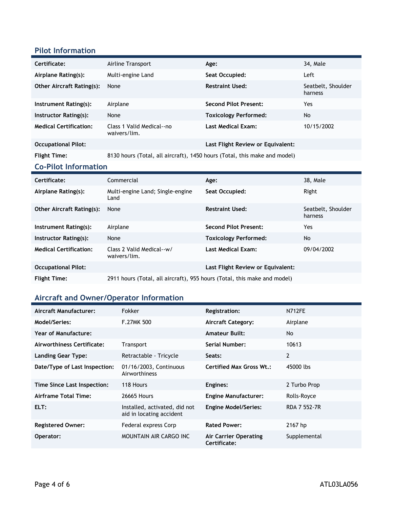#### **Pilot Information**

| Certificate:                     | Airline Transport                                                         | Age:                              | 34, Male                      |  |
|----------------------------------|---------------------------------------------------------------------------|-----------------------------------|-------------------------------|--|
| Airplane Rating(s):              | Multi-engine Land                                                         | Seat Occupied:                    | Left                          |  |
| <b>Other Aircraft Rating(s):</b> | None                                                                      | <b>Restraint Used:</b>            | Seatbelt, Shoulder<br>harness |  |
| Instrument Rating(s):            | Airplane                                                                  | <b>Second Pilot Present:</b>      | Yes                           |  |
| Instructor Rating(s):            | None                                                                      | <b>Toxicology Performed:</b>      | <b>No</b>                     |  |
| <b>Medical Certification:</b>    | Class 1 Valid Medical--no<br>waivers/lim.                                 | <b>Last Medical Exam:</b>         | 10/15/2002                    |  |
| <b>Occupational Pilot:</b>       |                                                                           | Last Flight Review or Equivalent: |                               |  |
| <b>Flight Time:</b>              | 8130 hours (Total, all aircraft), 1450 hours (Total, this make and model) |                                   |                               |  |
| <b>Co-Pilot Information</b>      |                                                                           |                                   |                               |  |
| Certificate:                     | Commercial                                                                | Age:                              | 38, Male                      |  |
| Airplane Rating(s):              | Multi-engine Land; Single-engine<br>Land                                  | Seat Occupied:                    | Right                         |  |
| <b>Other Aircraft Rating(s):</b> | None                                                                      | <b>Restraint Used:</b>            | Seatbelt, Shoulder<br>harness |  |
| Instrument Rating(s):            | Airplane                                                                  | <b>Second Pilot Present:</b>      | Yes                           |  |
| Instructor Rating(s):            | None                                                                      | <b>Toxicology Performed:</b>      | No                            |  |

waivers/lim. **Occupational Pilot: Last Flight Review or Equivalent: Flight Time:** 2911 hours (Total, all aircraft), 955 hours (Total, this make and model)

**Last Medical Exam:** 09/04/2002

#### **Aircraft and Owner/Operator Information**

**Medical Certification:** Class 2 Valid Medical--w/

| Aircraft Manufacturer:        | <b>Fokker</b>                                             | Registration:                         | <b>N712FE</b>       |
|-------------------------------|-----------------------------------------------------------|---------------------------------------|---------------------|
| Model/Series:                 | <b>F.27MK 500</b>                                         | <b>Aircraft Category:</b>             | Airplane            |
| <b>Year of Manufacture:</b>   |                                                           | <b>Amateur Built:</b>                 | No.                 |
| Airworthiness Certificate:    | Transport                                                 | Serial Number:                        | 10613               |
| <b>Landing Gear Type:</b>     | Retractable - Tricycle                                    | Seats:                                | 2                   |
| Date/Type of Last Inspection: | 01/16/2003, Continuous<br>Airworthiness                   | <b>Certified Max Gross Wt.:</b>       | 45000 lbs           |
| Time Since Last Inspection:   | 118 Hours                                                 | Engines:                              | 2 Turbo Prop        |
| Airframe Total Time:          | 26665 Hours                                               | <b>Engine Manufacturer:</b>           | Rolls-Royce         |
| ELT:                          | Installed, activated, did not<br>aid in locating accident | <b>Engine Model/Series:</b>           | <b>RDA 7 552-7R</b> |
| <b>Registered Owner:</b>      | Federal express Corp                                      | <b>Rated Power:</b>                   | 2167 hp             |
| Operator:                     | MOUNTAIN AIR CARGO INC                                    | Air Carrier Operating<br>Certificate: | Supplemental        |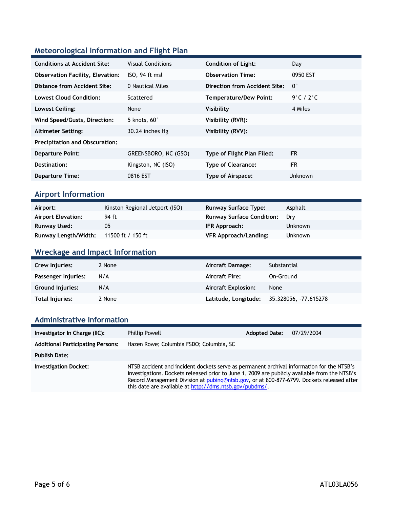### **Meteorological Information and Flight Plan**

| <b>Conditions at Accident Site:</b>     | <b>Visual Conditions</b> | <b>Condition of Light:</b>    | Day         |
|-----------------------------------------|--------------------------|-------------------------------|-------------|
| <b>Observation Facility, Elevation:</b> | ISO, 94 ft msl           | <b>Observation Time:</b>      | 0950 EST    |
| Distance from Accident Site:            | 0 Nautical Miles         | Direction from Accident Site: | $0^{\circ}$ |
| <b>Lowest Cloud Condition:</b>          | Scattered                | <b>Temperature/Dew Point:</b> | 9°C / 2°C   |
| Lowest Ceiling:                         | None                     | Visibility                    | 4 Miles     |
| Wind Speed/Gusts, Direction:            | 5 knots, $60^\circ$      | Visibility (RVR):             |             |
| <b>Altimeter Setting:</b>               | 30.24 inches Hg          | Visibility (RVV):             |             |
| <b>Precipitation and Obscuration:</b>   |                          |                               |             |
| <b>Departure Point:</b>                 | GREENSBORO, NC (GSO)     | Type of Flight Plan Filed:    | <b>IFR</b>  |
| Destination:                            | Kingston, NC (ISO)       | <b>Type of Clearance:</b>     | <b>IFR</b>  |
| <b>Departure Time:</b>                  | 0816 EST                 | Type of Airspace:             | Unknown     |

#### **Airport Information**

| Airport:                  | Kinston Regional Jetport (ISO) | <b>Runway Surface Type:</b>      | Asphalt        |
|---------------------------|--------------------------------|----------------------------------|----------------|
| <b>Airport Elevation:</b> | 94 ft                          | <b>Runway Surface Condition:</b> | Drv            |
| Runway Used:              | 05                             | IFR Approach:                    | <b>Unknown</b> |
| Runway Length/Width:      | 11500 ft / 150 ft              | <b>VFR Approach/Landing:</b>     | <b>Unknown</b> |

### **Wreckage and Impact Information**

| Crew Injuries:          | 2 None | Aircraft Damage:           | Substantial           |
|-------------------------|--------|----------------------------|-----------------------|
| Passenger Injuries:     | N/A    | <b>Aircraft Fire:</b>      | On-Ground             |
| <b>Ground Injuries:</b> | N/A    | <b>Aircraft Explosion:</b> | None                  |
| Total Injuries:         | 2 None | Latitude, Longitude;       | 35.328056, -77.615278 |

#### **Administrative Information**

| Investigator In Charge (IIC):            | <b>Phillip Powell</b>                                                                                                                                                                                                                                                                                                                              | <b>Adopted Date:</b> | 07/29/2004 |
|------------------------------------------|----------------------------------------------------------------------------------------------------------------------------------------------------------------------------------------------------------------------------------------------------------------------------------------------------------------------------------------------------|----------------------|------------|
| <b>Additional Participating Persons:</b> | Hazen Rowe; Columbia FSDO; Columbia, SC                                                                                                                                                                                                                                                                                                            |                      |            |
| <b>Publish Date:</b>                     |                                                                                                                                                                                                                                                                                                                                                    |                      |            |
| <b>Investigation Docket:</b>             | NTSB accident and incident dockets serve as permanent archival information for the NTSB's<br>investigations. Dockets released prior to June 1, 2009 are publicly available from the NTSB's<br>Record Management Division at pubing@ntsb.gov, or at 800-877-6799. Dockets released after<br>this date are available at http://dms.ntsb.gov/pubdms/. |                      |            |